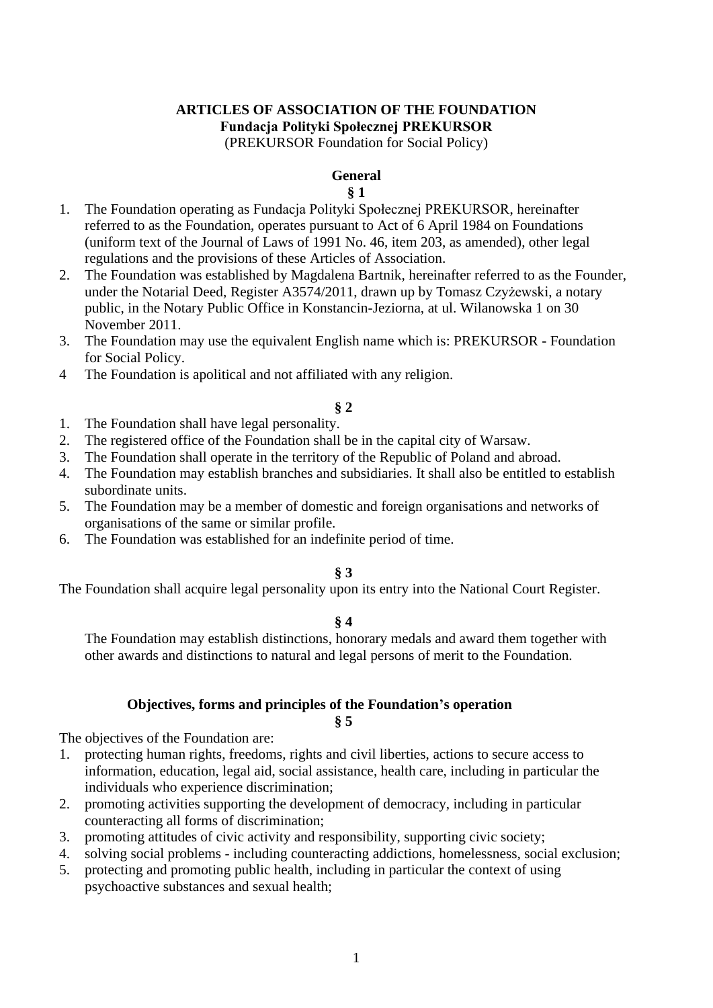# **ARTICLES OF ASSOCIATION OF THE FOUNDATION Fundacja Polityki Społecznej PREKURSOR**

(PREKURSOR Foundation for Social Policy)

# **General**

# **§ 1**

- 1. The Foundation operating as Fundacja Polityki Społecznej PREKURSOR, hereinafter referred to as the Foundation, operates pursuant to Act of 6 April 1984 on Foundations (uniform text of the Journal of Laws of 1991 No. 46, item 203, as amended), other legal regulations and the provisions of these Articles of Association.
- 2. The Foundation was established by Magdalena Bartnik, hereinafter referred to as the Founder, under the Notarial Deed, Register A3574/2011, drawn up by Tomasz Czyżewski, a notary public, in the Notary Public Office in Konstancin-Jeziorna, at ul. Wilanowska 1 on 30 November 2011.
- 3. The Foundation may use the equivalent English name which is: PREKURSOR Foundation for Social Policy.
- 4 The Foundation is apolitical and not affiliated with any religion.

# **§ 2**

- 1. The Foundation shall have legal personality.
- 2. The registered office of the Foundation shall be in the capital city of Warsaw.
- 3. The Foundation shall operate in the territory of the Republic of Poland and abroad.
- 4. The Foundation may establish branches and subsidiaries. It shall also be entitled to establish subordinate units.
- 5. The Foundation may be a member of domestic and foreign organisations and networks of organisations of the same or similar profile.
- 6. The Foundation was established for an indefinite period of time.

# **§ 3**

The Foundation shall acquire legal personality upon its entry into the National Court Register.

# **§ 4**

The Foundation may establish distinctions, honorary medals and award them together with other awards and distinctions to natural and legal persons of merit to the Foundation.

# **Objectives, forms and principles of the Foundation's operation**

#### **§ 5**

The objectives of the Foundation are:

- 1. protecting human rights, freedoms, rights and civil liberties, actions to secure access to information, education, legal aid, social assistance, health care, including in particular the individuals who experience discrimination;
- 2. promoting activities supporting the development of democracy, including in particular counteracting all forms of discrimination;
- 3. promoting attitudes of civic activity and responsibility, supporting civic society;
- 4. solving social problems including counteracting addictions, homelessness, social exclusion;
- 5. protecting and promoting public health, including in particular the context of using psychoactive substances and sexual health;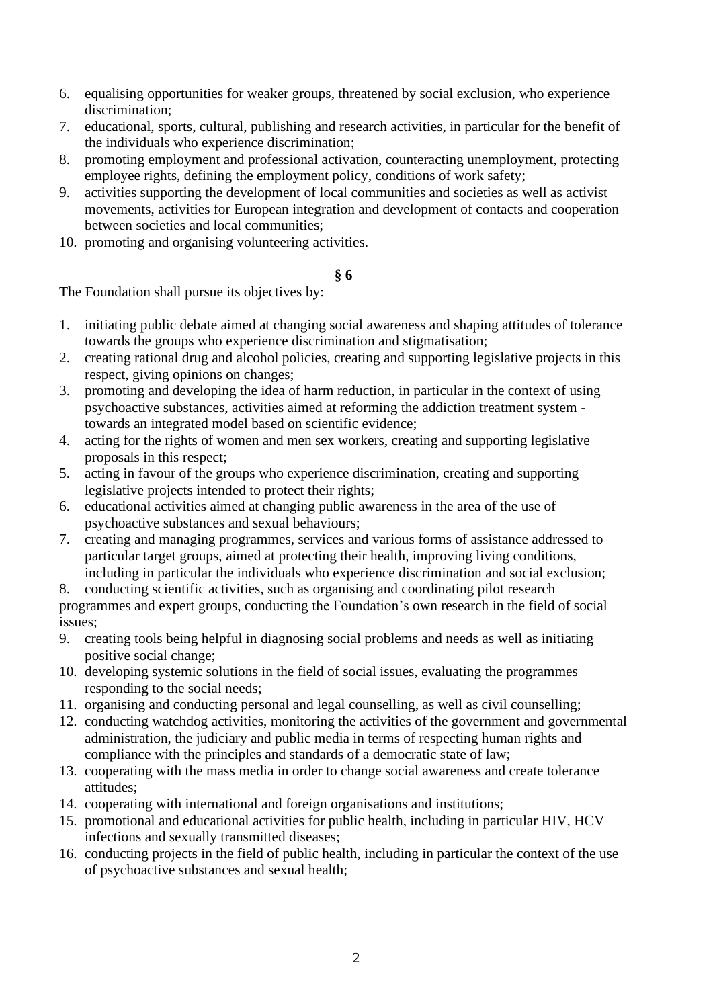- 6. equalising opportunities for weaker groups, threatened by social exclusion, who experience discrimination;
- 7. educational, sports, cultural, publishing and research activities, in particular for the benefit of the individuals who experience discrimination;
- 8. promoting employment and professional activation, counteracting unemployment, protecting employee rights, defining the employment policy, conditions of work safety;
- 9. activities supporting the development of local communities and societies as well as activist movements, activities for European integration and development of contacts and cooperation between societies and local communities;
- 10. promoting and organising volunteering activities.

### **§ 6**

The Foundation shall pursue its objectives by:

- 1. initiating public debate aimed at changing social awareness and shaping attitudes of tolerance towards the groups who experience discrimination and stigmatisation;
- 2. creating rational drug and alcohol policies, creating and supporting legislative projects in this respect, giving opinions on changes;
- 3. promoting and developing the idea of harm reduction, in particular in the context of using psychoactive substances, activities aimed at reforming the addiction treatment system towards an integrated model based on scientific evidence;
- 4. acting for the rights of women and men sex workers, creating and supporting legislative proposals in this respect;
- 5. acting in favour of the groups who experience discrimination, creating and supporting legislative projects intended to protect their rights;
- 6. educational activities aimed at changing public awareness in the area of the use of psychoactive substances and sexual behaviours;
- 7. creating and managing programmes, services and various forms of assistance addressed to particular target groups, aimed at protecting their health, improving living conditions, including in particular the individuals who experience discrimination and social exclusion;
- 8. conducting scientific activities, such as organising and coordinating pilot research

programmes and expert groups, conducting the Foundation's own research in the field of social issues;

- 9. creating tools being helpful in diagnosing social problems and needs as well as initiating positive social change;
- 10. developing systemic solutions in the field of social issues, evaluating the programmes responding to the social needs;
- 11. organising and conducting personal and legal counselling, as well as civil counselling;
- 12. conducting watchdog activities, monitoring the activities of the government and governmental administration, the judiciary and public media in terms of respecting human rights and compliance with the principles and standards of a democratic state of law;
- 13. cooperating with the mass media in order to change social awareness and create tolerance attitudes;
- 14. cooperating with international and foreign organisations and institutions;
- 15. promotional and educational activities for public health, including in particular HIV, HCV infections and sexually transmitted diseases;
- 16. conducting projects in the field of public health, including in particular the context of the use of psychoactive substances and sexual health;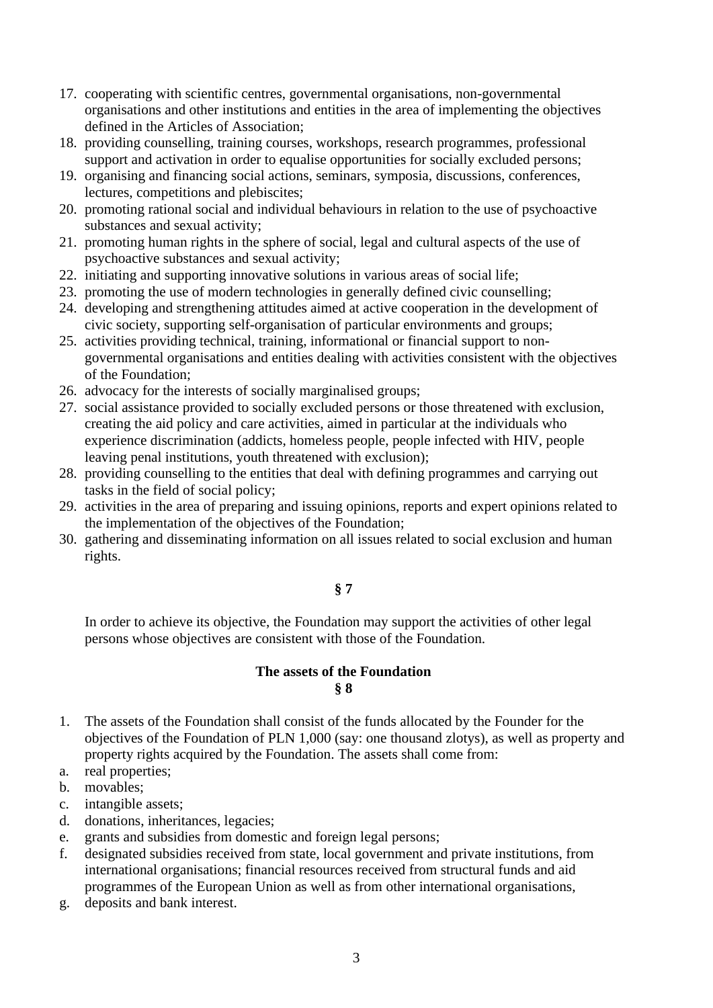- 17. cooperating with scientific centres, governmental organisations, non-governmental organisations and other institutions and entities in the area of implementing the objectives defined in the Articles of Association;
- 18. providing counselling, training courses, workshops, research programmes, professional support and activation in order to equalise opportunities for socially excluded persons;
- 19. organising and financing social actions, seminars, symposia, discussions, conferences, lectures, competitions and plebiscites;
- 20. promoting rational social and individual behaviours in relation to the use of psychoactive substances and sexual activity;
- 21. promoting human rights in the sphere of social, legal and cultural aspects of the use of psychoactive substances and sexual activity;
- 22. initiating and supporting innovative solutions in various areas of social life;
- 23. promoting the use of modern technologies in generally defined civic counselling;
- 24. developing and strengthening attitudes aimed at active cooperation in the development of civic society, supporting self-organisation of particular environments and groups;
- 25. activities providing technical, training, informational or financial support to nongovernmental organisations and entities dealing with activities consistent with the objectives of the Foundation;
- 26. advocacy for the interests of socially marginalised groups;
- 27. social assistance provided to socially excluded persons or those threatened with exclusion, creating the aid policy and care activities, aimed in particular at the individuals who experience discrimination (addicts, homeless people, people infected with HIV, people leaving penal institutions, youth threatened with exclusion);
- 28. providing counselling to the entities that deal with defining programmes and carrying out tasks in the field of social policy;
- 29. activities in the area of preparing and issuing opinions, reports and expert opinions related to the implementation of the objectives of the Foundation;
- 30. gathering and disseminating information on all issues related to social exclusion and human rights.

# **§ 7**

In order to achieve its objective, the Foundation may support the activities of other legal persons whose objectives are consistent with those of the Foundation.

#### **The assets of the Foundation § 8**

- 1. The assets of the Foundation shall consist of the funds allocated by the Founder for the objectives of the Foundation of PLN 1,000 (say: one thousand zlotys), as well as property and property rights acquired by the Foundation. The assets shall come from:
- a. real properties;
- b. movables;
- c. intangible assets;
- d. donations, inheritances, legacies;
- e. grants and subsidies from domestic and foreign legal persons;
- f. designated subsidies received from state, local government and private institutions, from international organisations; financial resources received from structural funds and aid programmes of the European Union as well as from other international organisations,
- g. deposits and bank interest.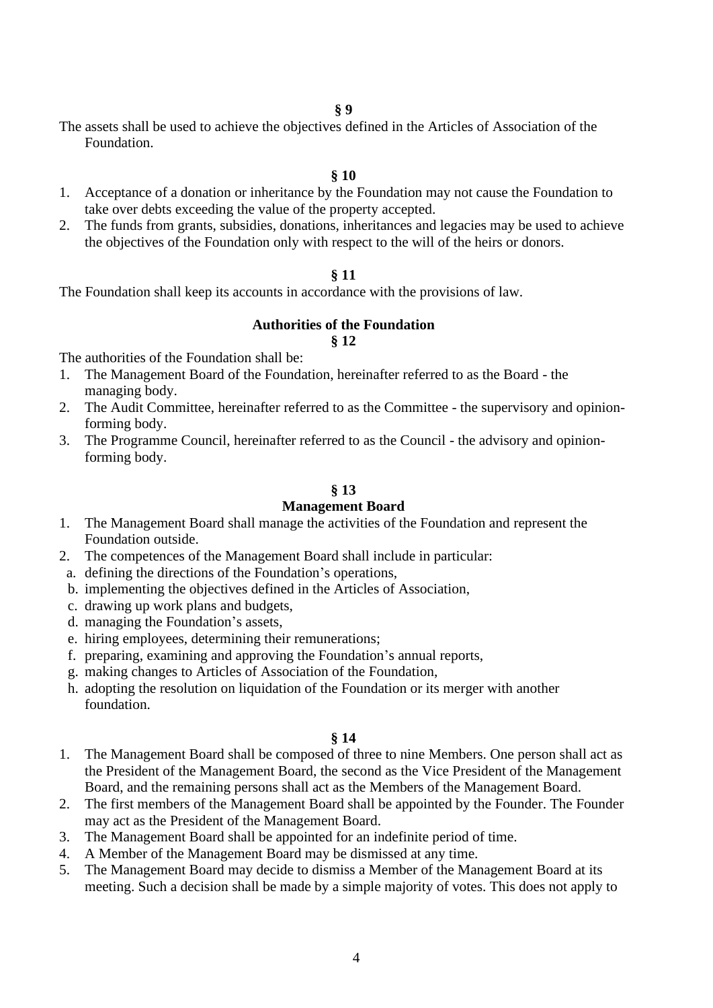The assets shall be used to achieve the objectives defined in the Articles of Association of the Foundation.

#### **§ 10**

- 1. Acceptance of a donation or inheritance by the Foundation may not cause the Foundation to take over debts exceeding the value of the property accepted.
- 2. The funds from grants, subsidies, donations, inheritances and legacies may be used to achieve the objectives of the Foundation only with respect to the will of the heirs or donors.

#### **§ 11**

The Foundation shall keep its accounts in accordance with the provisions of law.

### **Authorities of the Foundation**

#### **§ 12**

The authorities of the Foundation shall be:

- 1. The Management Board of the Foundation, hereinafter referred to as the Board the managing body.
- 2. The Audit Committee, hereinafter referred to as the Committee the supervisory and opinionforming body.
- 3. The Programme Council, hereinafter referred to as the Council the advisory and opinionforming body.

#### **§ 13**

#### **Management Board**

- 1. The Management Board shall manage the activities of the Foundation and represent the Foundation outside.
- 2. The competences of the Management Board shall include in particular:
- a. defining the directions of the Foundation's operations,
- b. implementing the objectives defined in the Articles of Association,
- c. drawing up work plans and budgets,
- d. managing the Foundation's assets,
- e. hiring employees, determining their remunerations;
- f. preparing, examining and approving the Foundation's annual reports,
- g. making changes to Articles of Association of the Foundation,
- h. adopting the resolution on liquidation of the Foundation or its merger with another foundation.

#### **§ 14**

- 1. The Management Board shall be composed of three to nine Members. One person shall act as the President of the Management Board, the second as the Vice President of the Management Board, and the remaining persons shall act as the Members of the Management Board.
- 2. The first members of the Management Board shall be appointed by the Founder. The Founder may act as the President of the Management Board.
- 3. The Management Board shall be appointed for an indefinite period of time.
- 4. A Member of the Management Board may be dismissed at any time.
- 5. The Management Board may decide to dismiss a Member of the Management Board at its meeting. Such a decision shall be made by a simple majority of votes. This does not apply to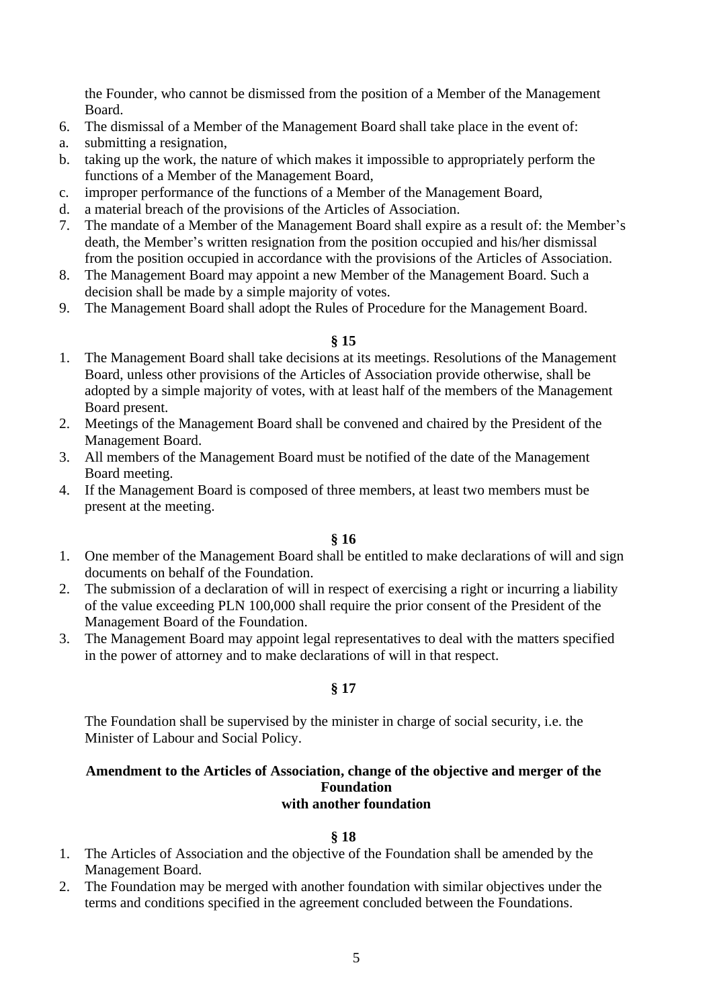the Founder, who cannot be dismissed from the position of a Member of the Management Board.

- 6. The dismissal of a Member of the Management Board shall take place in the event of:
- a. submitting a resignation,
- b. taking up the work, the nature of which makes it impossible to appropriately perform the functions of a Member of the Management Board,
- c. improper performance of the functions of a Member of the Management Board,
- d. a material breach of the provisions of the Articles of Association.
- 7. The mandate of a Member of the Management Board shall expire as a result of: the Member's death, the Member's written resignation from the position occupied and his/her dismissal from the position occupied in accordance with the provisions of the Articles of Association.
- 8. The Management Board may appoint a new Member of the Management Board. Such a decision shall be made by a simple majority of votes.
- 9. The Management Board shall adopt the Rules of Procedure for the Management Board.

#### **§ 15**

- 1. The Management Board shall take decisions at its meetings. Resolutions of the Management Board, unless other provisions of the Articles of Association provide otherwise, shall be adopted by a simple majority of votes, with at least half of the members of the Management Board present.
- 2. Meetings of the Management Board shall be convened and chaired by the President of the Management Board.
- 3. All members of the Management Board must be notified of the date of the Management Board meeting.
- 4. If the Management Board is composed of three members, at least two members must be present at the meeting.

#### **§ 16**

- 1. One member of the Management Board shall be entitled to make declarations of will and sign documents on behalf of the Foundation.
- 2. The submission of a declaration of will in respect of exercising a right or incurring a liability of the value exceeding PLN 100,000 shall require the prior consent of the President of the Management Board of the Foundation.
- 3. The Management Board may appoint legal representatives to deal with the matters specified in the power of attorney and to make declarations of will in that respect.

#### **§ 17**

The Foundation shall be supervised by the minister in charge of social security, i.e. the Minister of Labour and Social Policy.

#### **Amendment to the Articles of Association, change of the objective and merger of the Foundation with another foundation**

#### **§ 18**

- 1. The Articles of Association and the objective of the Foundation shall be amended by the Management Board.
- 2. The Foundation may be merged with another foundation with similar objectives under the terms and conditions specified in the agreement concluded between the Foundations.